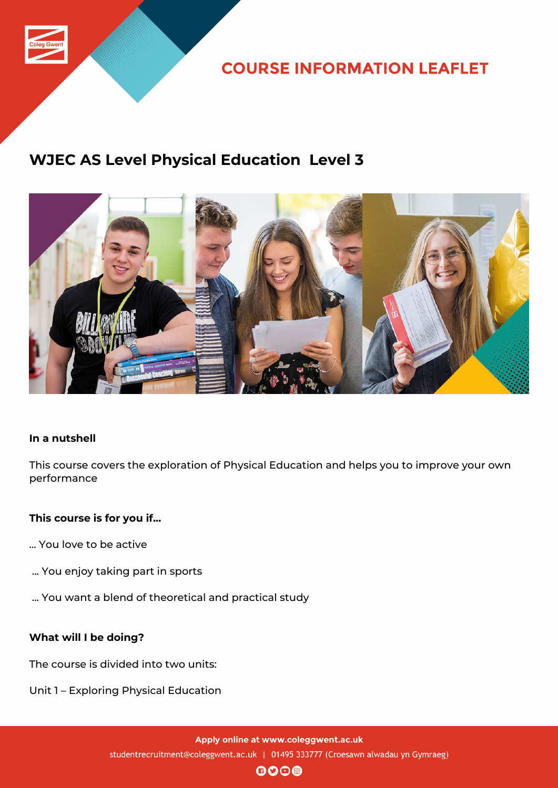

**COURSE INFORMATION LEAFLET** 

# **WJEC AS Level Physical Education Level 3**



## **In a nutshell**

This course covers the exploration of Physical Education and helps you to improve your own performance

## **This course is for you if...**

- ... You love to be active
- ... You enjoy taking part in sports
- ... You want a blend of theoretical and practical study

## **What will I be doing?**

The course is divided into two units:

Unit 1 – Exploring Physical Education

Apply online at www.coleggwent.ac.uk studentrecruitment@coleggwent.ac.uk | 01495 333777 (Croesawn alwadau yn Gymraeg)

 $0000$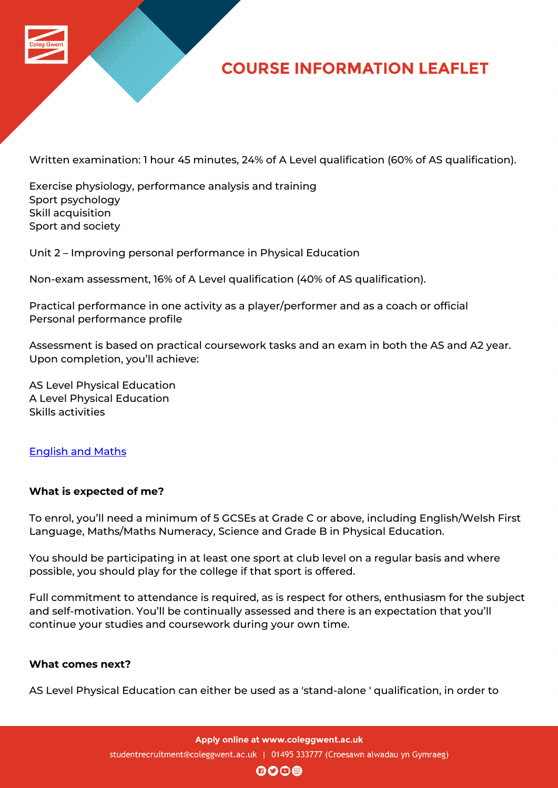

# **COURSE INFORMATION LEAFLET**

Written examination: 1 hour 45 minutes, 24% of A Level qualification (60% of AS qualification).

Exercise physiology, performance analysis and training Sport psychology Skill acquisition Sport and society

Unit 2 – Improving personal performance in Physical Education

Non-exam assessment, 16% of A Level qualification (40% of AS qualification).

Practical performance in one activity as a player/performer and as a coach or official Personal performance profile

Assessment is based on practical coursework tasks and an exam in both the AS and A2 year. Upon completion, you'll achieve:

AS Level Physical Education A Level Physical Education Skills activities

## English and Maths

#### **[What is expected](http://www.coleggwent.ac.uk/index.php?option=com_content&view=article&id=2314) of me?**

To enrol, you'll need a minimum of 5 GCSEs at Grade C or above, including English/Welsh First Language, Maths/Maths Numeracy, Science and Grade B in Physical Education.

You should be participating in at least one sport at club level on a regular basis and where possible, you should play for the college if that sport is offered.

Full commitment to attendance is required, as is respect for others, enthusiasm for the subject and self-motivation. You'll be continually assessed and there is an expectation that you'll continue your studies and coursework during your own time.

### **What comes next?**

AS Level Physical Education can either be used as a 'stand-alone ' qualification, in order to

Apply online at www.coleggwent.ac.uk studentrecruitment@coleggwent.ac.uk | 01495 333777 (Croesawn alwadau yn Gymraeg)

 $\mathbf{0}$  $\mathbf{0}$  $\mathbf{0}$